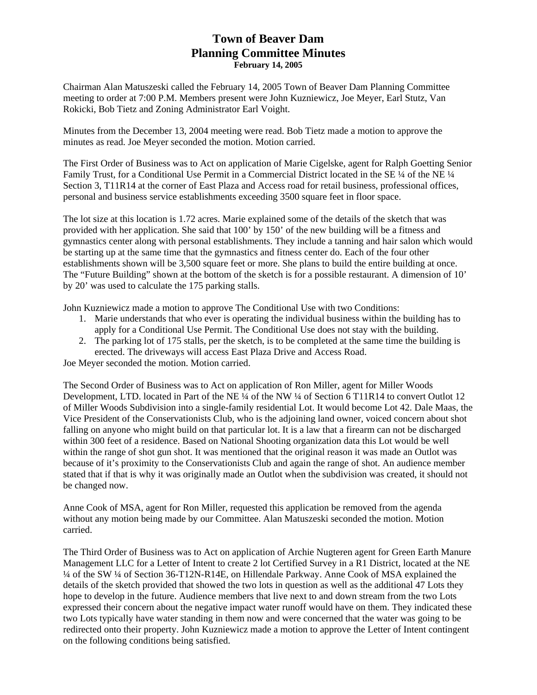## **Town of Beaver Dam Planning Committee Minutes February 14, 2005**

Chairman Alan Matuszeski called the February 14, 2005 Town of Beaver Dam Planning Committee meeting to order at 7:00 P.M. Members present were John Kuzniewicz, Joe Meyer, Earl Stutz, Van Rokicki, Bob Tietz and Zoning Administrator Earl Voight.

Minutes from the December 13, 2004 meeting were read. Bob Tietz made a motion to approve the minutes as read. Joe Meyer seconded the motion. Motion carried.

The First Order of Business was to Act on application of Marie Cigelske, agent for Ralph Goetting Senior Family Trust, for a Conditional Use Permit in a Commercial District located in the SE ¼ of the NE ¼ Section 3, T11R14 at the corner of East Plaza and Access road for retail business, professional offices, personal and business service establishments exceeding 3500 square feet in floor space.

The lot size at this location is 1.72 acres. Marie explained some of the details of the sketch that was provided with her application. She said that 100' by 150' of the new building will be a fitness and gymnastics center along with personal establishments. They include a tanning and hair salon which would be starting up at the same time that the gymnastics and fitness center do. Each of the four other establishments shown will be 3,500 square feet or more. She plans to build the entire building at once. The "Future Building" shown at the bottom of the sketch is for a possible restaurant. A dimension of 10' by 20' was used to calculate the 175 parking stalls.

John Kuzniewicz made a motion to approve The Conditional Use with two Conditions:

- 1. Marie understands that who ever is operating the individual business within the building has to apply for a Conditional Use Permit. The Conditional Use does not stay with the building.
- 2. The parking lot of 175 stalls, per the sketch, is to be completed at the same time the building is erected. The driveways will access East Plaza Drive and Access Road.

Joe Meyer seconded the motion. Motion carried.

The Second Order of Business was to Act on application of Ron Miller, agent for Miller Woods Development, LTD. located in Part of the NE ¼ of the NW ¼ of Section 6 T11R14 to convert Outlot 12 of Miller Woods Subdivision into a single-family residential Lot. It would become Lot 42. Dale Maas, the Vice President of the Conservationists Club, who is the adjoining land owner, voiced concern about shot falling on anyone who might build on that particular lot. It is a law that a firearm can not be discharged within 300 feet of a residence. Based on National Shooting organization data this Lot would be well within the range of shot gun shot. It was mentioned that the original reason it was made an Outlot was because of it's proximity to the Conservationists Club and again the range of shot. An audience member stated that if that is why it was originally made an Outlot when the subdivision was created, it should not be changed now.

Anne Cook of MSA, agent for Ron Miller, requested this application be removed from the agenda without any motion being made by our Committee. Alan Matuszeski seconded the motion. Motion carried.

The Third Order of Business was to Act on application of Archie Nugteren agent for Green Earth Manure Management LLC for a Letter of Intent to create 2 lot Certified Survey in a R1 District, located at the NE ¼ of the SW ¼ of Section 36-T12N-R14E, on Hillendale Parkway. Anne Cook of MSA explained the details of the sketch provided that showed the two lots in question as well as the additional 47 Lots they hope to develop in the future. Audience members that live next to and down stream from the two Lots expressed their concern about the negative impact water runoff would have on them. They indicated these two Lots typically have water standing in them now and were concerned that the water was going to be redirected onto their property. John Kuzniewicz made a motion to approve the Letter of Intent contingent on the following conditions being satisfied.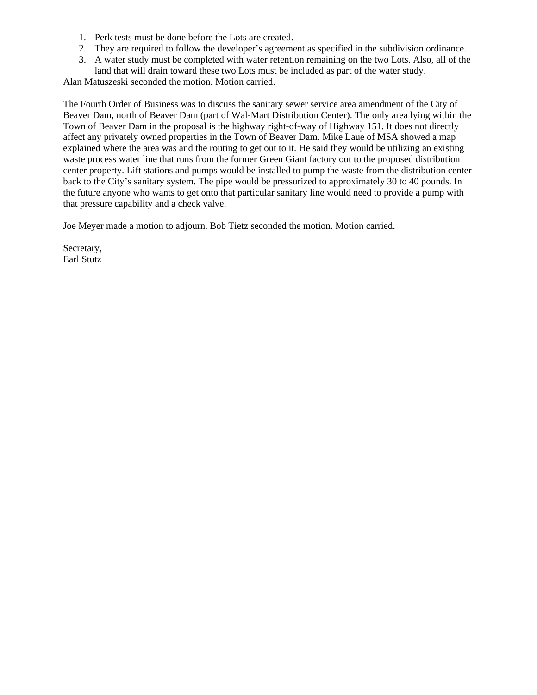- 1. Perk tests must be done before the Lots are created.
- 2. They are required to follow the developer's agreement as specified in the subdivision ordinance.
- 3. A water study must be completed with water retention remaining on the two Lots. Also, all of the land that will drain toward these two Lots must be included as part of the water study.

Alan Matuszeski seconded the motion. Motion carried.

The Fourth Order of Business was to discuss the sanitary sewer service area amendment of the City of Beaver Dam, north of Beaver Dam (part of Wal-Mart Distribution Center). The only area lying within the Town of Beaver Dam in the proposal is the highway right-of-way of Highway 151. It does not directly affect any privately owned properties in the Town of Beaver Dam. Mike Laue of MSA showed a map explained where the area was and the routing to get out to it. He said they would be utilizing an existing waste process water line that runs from the former Green Giant factory out to the proposed distribution center property. Lift stations and pumps would be installed to pump the waste from the distribution center back to the City's sanitary system. The pipe would be pressurized to approximately 30 to 40 pounds. In the future anyone who wants to get onto that particular sanitary line would need to provide a pump with that pressure capability and a check valve.

Joe Meyer made a motion to adjourn. Bob Tietz seconded the motion. Motion carried.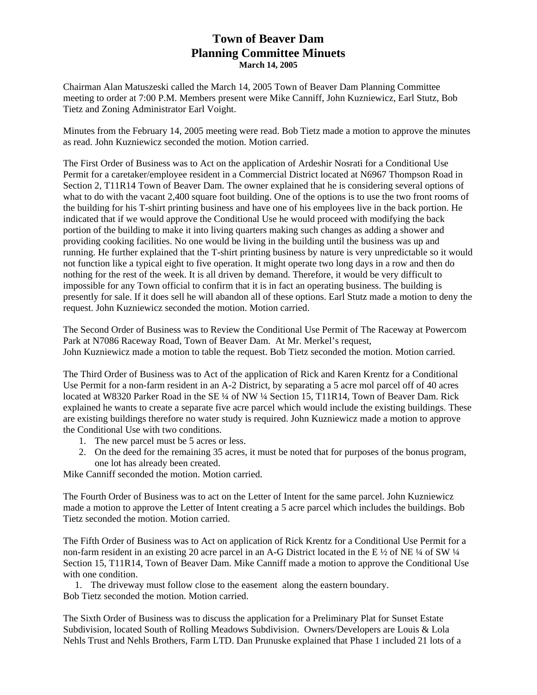### **Town of Beaver Dam Planning Committee Minuets March 14, 2005**

Chairman Alan Matuszeski called the March 14, 2005 Town of Beaver Dam Planning Committee meeting to order at 7:00 P.M. Members present were Mike Canniff, John Kuzniewicz, Earl Stutz, Bob Tietz and Zoning Administrator Earl Voight.

Minutes from the February 14, 2005 meeting were read. Bob Tietz made a motion to approve the minutes as read. John Kuzniewicz seconded the motion. Motion carried.

The First Order of Business was to Act on the application of Ardeshir Nosrati for a Conditional Use Permit for a caretaker/employee resident in a Commercial District located at N6967 Thompson Road in Section 2, T11R14 Town of Beaver Dam. The owner explained that he is considering several options of what to do with the vacant 2,400 square foot building. One of the options is to use the two front rooms of the building for his T-shirt printing business and have one of his employees live in the back portion. He indicated that if we would approve the Conditional Use he would proceed with modifying the back portion of the building to make it into living quarters making such changes as adding a shower and providing cooking facilities. No one would be living in the building until the business was up and running. He further explained that the T-shirt printing business by nature is very unpredictable so it would not function like a typical eight to five operation. It might operate two long days in a row and then do nothing for the rest of the week. It is all driven by demand. Therefore, it would be very difficult to impossible for any Town official to confirm that it is in fact an operating business. The building is presently for sale. If it does sell he will abandon all of these options. Earl Stutz made a motion to deny the request. John Kuzniewicz seconded the motion. Motion carried.

The Second Order of Business was to Review the Conditional Use Permit of The Raceway at Powercom Park at N7086 Raceway Road, Town of Beaver Dam. At Mr. Merkel's request, John Kuzniewicz made a motion to table the request. Bob Tietz seconded the motion. Motion carried.

The Third Order of Business was to Act of the application of Rick and Karen Krentz for a Conditional Use Permit for a non-farm resident in an A-2 District, by separating a 5 acre mol parcel off of 40 acres located at W8320 Parker Road in the SE ¼ of NW ¼ Section 15, T11R14, Town of Beaver Dam. Rick explained he wants to create a separate five acre parcel which would include the existing buildings. These are existing buildings therefore no water study is required. John Kuzniewicz made a motion to approve the Conditional Use with two conditions.

- 1. The new parcel must be 5 acres or less.
- 2. On the deed for the remaining 35 acres, it must be noted that for purposes of the bonus program, one lot has already been created.

Mike Canniff seconded the motion. Motion carried.

The Fourth Order of Business was to act on the Letter of Intent for the same parcel. John Kuzniewicz made a motion to approve the Letter of Intent creating a 5 acre parcel which includes the buildings. Bob Tietz seconded the motion. Motion carried.

The Fifth Order of Business was to Act on application of Rick Krentz for a Conditional Use Permit for a non-farm resident in an existing 20 acre parcel in an A-G District located in the E  $\frac{1}{2}$  of NE  $\frac{1}{4}$  of SW  $\frac{1}{4}$ Section 15, T11R14, Town of Beaver Dam. Mike Canniff made a motion to approve the Conditional Use with one condition.

1. The driveway must follow close to the easement along the eastern boundary. Bob Tietz seconded the motion. Motion carried.

The Sixth Order of Business was to discuss the application for a Preliminary Plat for Sunset Estate Subdivision, located South of Rolling Meadows Subdivision. Owners/Developers are Louis & Lola Nehls Trust and Nehls Brothers, Farm LTD. Dan Prunuske explained that Phase 1 included 21 lots of a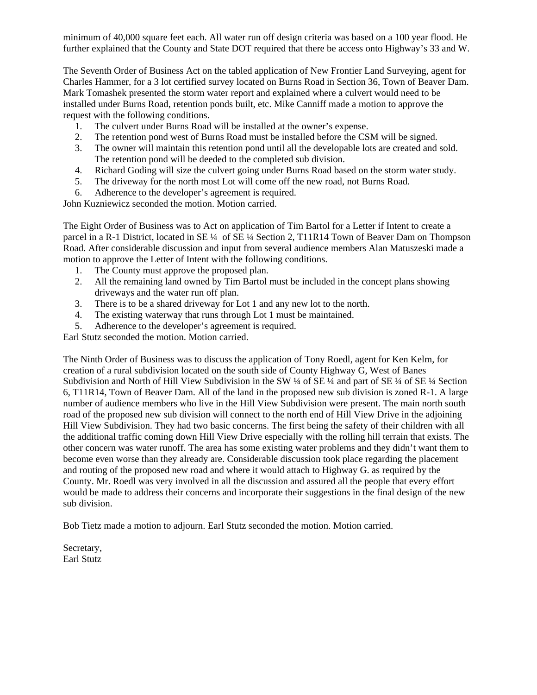minimum of 40,000 square feet each. All water run off design criteria was based on a 100 year flood. He further explained that the County and State DOT required that there be access onto Highway's 33 and W.

The Seventh Order of Business Act on the tabled application of New Frontier Land Surveying, agent for Charles Hammer, for a 3 lot certified survey located on Burns Road in Section 36, Town of Beaver Dam. Mark Tomashek presented the storm water report and explained where a culvert would need to be installed under Burns Road, retention ponds built, etc. Mike Canniff made a motion to approve the request with the following conditions.

- 1. The culvert under Burns Road will be installed at the owner's expense.
- 2. The retention pond west of Burns Road must be installed before the CSM will be signed.
- 3. The owner will maintain this retention pond until all the developable lots are created and sold. The retention pond will be deeded to the completed sub division.
- 4. Richard Goding will size the culvert going under Burns Road based on the storm water study.
- 5. The driveway for the north most Lot will come off the new road, not Burns Road.
- 6. Adherence to the developer's agreement is required.

John Kuzniewicz seconded the motion. Motion carried.

The Eight Order of Business was to Act on application of Tim Bartol for a Letter if Intent to create a parcel in a R-1 District, located in SE ¼ of SE ¼ Section 2, T11R14 Town of Beaver Dam on Thompson Road. After considerable discussion and input from several audience members Alan Matuszeski made a motion to approve the Letter of Intent with the following conditions.

- 1. The County must approve the proposed plan.
- 2. All the remaining land owned by Tim Bartol must be included in the concept plans showing driveways and the water run off plan.
- 3. There is to be a shared driveway for Lot 1 and any new lot to the north.
- 4. The existing waterway that runs through Lot 1 must be maintained.
- 5. Adherence to the developer's agreement is required.

Earl Stutz seconded the motion. Motion carried.

The Ninth Order of Business was to discuss the application of Tony Roedl, agent for Ken Kelm, for creation of a rural subdivision located on the south side of County Highway G, West of Banes Subdivision and North of Hill View Subdivision in the SW ¼ of SE ¼ and part of SE ¼ of SE ¼ Section 6, T11R14, Town of Beaver Dam. All of the land in the proposed new sub division is zoned R-1. A large number of audience members who live in the Hill View Subdivision were present. The main north south road of the proposed new sub division will connect to the north end of Hill View Drive in the adjoining Hill View Subdivision. They had two basic concerns. The first being the safety of their children with all the additional traffic coming down Hill View Drive especially with the rolling hill terrain that exists. The other concern was water runoff. The area has some existing water problems and they didn't want them to become even worse than they already are. Considerable discussion took place regarding the placement and routing of the proposed new road and where it would attach to Highway G. as required by the County. Mr. Roedl was very involved in all the discussion and assured all the people that every effort would be made to address their concerns and incorporate their suggestions in the final design of the new sub division.

Bob Tietz made a motion to adjourn. Earl Stutz seconded the motion. Motion carried.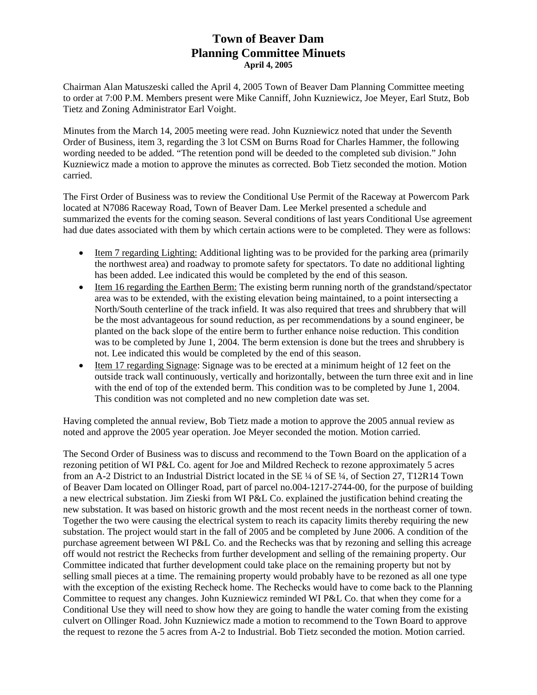## **Town of Beaver Dam Planning Committee Minuets April 4, 2005**

Chairman Alan Matuszeski called the April 4, 2005 Town of Beaver Dam Planning Committee meeting to order at 7:00 P.M. Members present were Mike Canniff, John Kuzniewicz, Joe Meyer, Earl Stutz, Bob Tietz and Zoning Administrator Earl Voight.

Minutes from the March 14, 2005 meeting were read. John Kuzniewicz noted that under the Seventh Order of Business, item 3, regarding the 3 lot CSM on Burns Road for Charles Hammer, the following wording needed to be added. "The retention pond will be deeded to the completed sub division." John Kuzniewicz made a motion to approve the minutes as corrected. Bob Tietz seconded the motion. Motion carried.

The First Order of Business was to review the Conditional Use Permit of the Raceway at Powercom Park located at N7086 Raceway Road, Town of Beaver Dam. Lee Merkel presented a schedule and summarized the events for the coming season. Several conditions of last years Conditional Use agreement had due dates associated with them by which certain actions were to be completed. They were as follows:

- Item 7 regarding Lighting: Additional lighting was to be provided for the parking area (primarily the northwest area) and roadway to promote safety for spectators. To date no additional lighting has been added. Lee indicated this would be completed by the end of this season.
- Item 16 regarding the Earthen Berm: The existing berm running north of the grandstand/spectator area was to be extended, with the existing elevation being maintained, to a point intersecting a North/South centerline of the track infield. It was also required that trees and shrubbery that will be the most advantageous for sound reduction, as per recommendations by a sound engineer, be planted on the back slope of the entire berm to further enhance noise reduction. This condition was to be completed by June 1, 2004. The berm extension is done but the trees and shrubbery is not. Lee indicated this would be completed by the end of this season.
- Item 17 regarding Signage: Signage was to be erected at a minimum height of 12 feet on the outside track wall continuously, vertically and horizontally, between the turn three exit and in line with the end of top of the extended berm. This condition was to be completed by June 1, 2004. This condition was not completed and no new completion date was set.

Having completed the annual review, Bob Tietz made a motion to approve the 2005 annual review as noted and approve the 2005 year operation. Joe Meyer seconded the motion. Motion carried.

The Second Order of Business was to discuss and recommend to the Town Board on the application of a rezoning petition of WI P&L Co. agent for Joe and Mildred Recheck to rezone approximately 5 acres from an A-2 District to an Industrial District located in the SE ¼ of SE ¼, of Section 27, T12R14 Town of Beaver Dam located on Ollinger Road, part of parcel no.004-1217-2744-00, for the purpose of building a new electrical substation. Jim Zieski from WI P&L Co. explained the justification behind creating the new substation. It was based on historic growth and the most recent needs in the northeast corner of town. Together the two were causing the electrical system to reach its capacity limits thereby requiring the new substation. The project would start in the fall of 2005 and be completed by June 2006. A condition of the purchase agreement between WI P&L Co. and the Rechecks was that by rezoning and selling this acreage off would not restrict the Rechecks from further development and selling of the remaining property. Our Committee indicated that further development could take place on the remaining property but not by selling small pieces at a time. The remaining property would probably have to be rezoned as all one type with the exception of the existing Recheck home. The Rechecks would have to come back to the Planning Committee to request any changes. John Kuzniewicz reminded WI P&L Co. that when they come for a Conditional Use they will need to show how they are going to handle the water coming from the existing culvert on Ollinger Road. John Kuzniewicz made a motion to recommend to the Town Board to approve the request to rezone the 5 acres from A-2 to Industrial. Bob Tietz seconded the motion. Motion carried.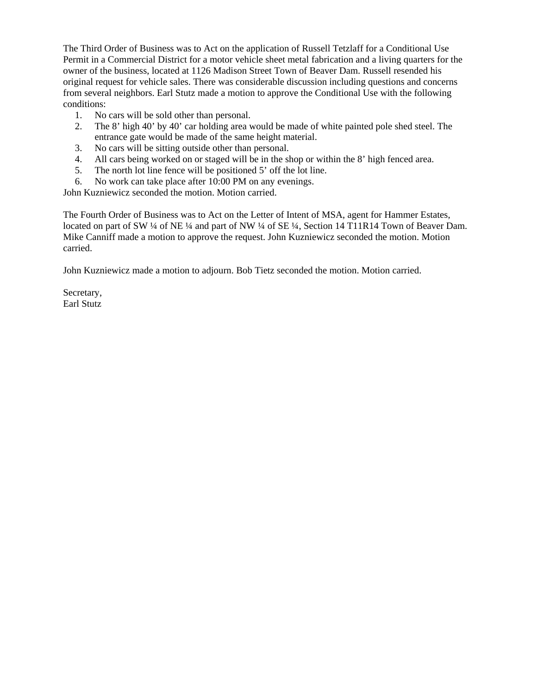The Third Order of Business was to Act on the application of Russell Tetzlaff for a Conditional Use Permit in a Commercial District for a motor vehicle sheet metal fabrication and a living quarters for the owner of the business, located at 1126 Madison Street Town of Beaver Dam. Russell resended his original request for vehicle sales. There was considerable discussion including questions and concerns from several neighbors. Earl Stutz made a motion to approve the Conditional Use with the following conditions:

- 1. No cars will be sold other than personal.
- 2. The 8' high 40' by 40' car holding area would be made of white painted pole shed steel. The entrance gate would be made of the same height material.
- 3. No cars will be sitting outside other than personal.
- 4. All cars being worked on or staged will be in the shop or within the 8' high fenced area.
- 5. The north lot line fence will be positioned 5' off the lot line.
- 6. No work can take place after 10:00 PM on any evenings.

John Kuzniewicz seconded the motion. Motion carried.

The Fourth Order of Business was to Act on the Letter of Intent of MSA, agent for Hammer Estates, located on part of SW ¼ of NE ¼ and part of NW ¼ of SE ¼, Section 14 T11R14 Town of Beaver Dam. Mike Canniff made a motion to approve the request. John Kuzniewicz seconded the motion. Motion carried.

John Kuzniewicz made a motion to adjourn. Bob Tietz seconded the motion. Motion carried.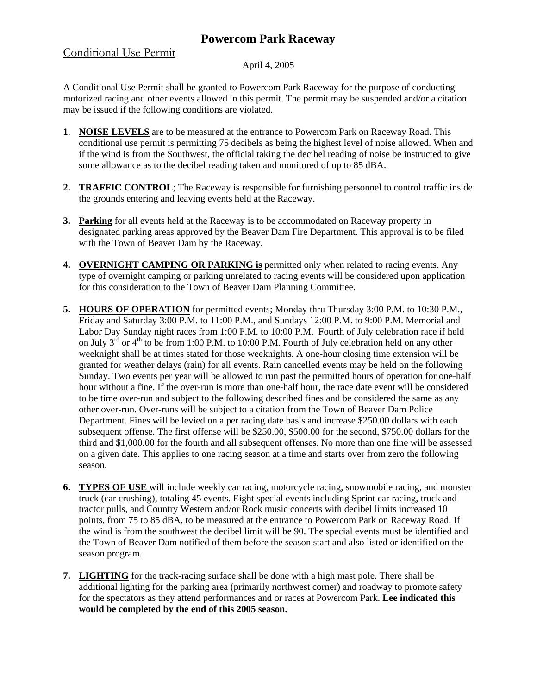# **Powercom Park Raceway**

#### Conditional Use Permit

#### April 4, 2005

A Conditional Use Permit shall be granted to Powercom Park Raceway for the purpose of conducting motorized racing and other events allowed in this permit. The permit may be suspended and/or a citation may be issued if the following conditions are violated.

- **1**. **NOISE LEVELS** are to be measured at the entrance to Powercom Park on Raceway Road. This conditional use permit is permitting 75 decibels as being the highest level of noise allowed. When and if the wind is from the Southwest, the official taking the decibel reading of noise be instructed to give some allowance as to the decibel reading taken and monitored of up to 85 dBA.
- **2. TRAFFIC CONTROL**; The Raceway is responsible for furnishing personnel to control traffic inside the grounds entering and leaving events held at the Raceway.
- **3. Parking** for all events held at the Raceway is to be accommodated on Raceway property in designated parking areas approved by the Beaver Dam Fire Department. This approval is to be filed with the Town of Beaver Dam by the Raceway.
- **4. OVERNIGHT CAMPING OR PARKING is** permitted only when related to racing events. Any type of overnight camping or parking unrelated to racing events will be considered upon application for this consideration to the Town of Beaver Dam Planning Committee.
- **5. HOURS OF OPERATION** for permitted events; Monday thru Thursday 3:00 P.M. to 10:30 P.M., Friday and Saturday 3:00 P.M. to 11:00 P.M., and Sundays 12:00 P.M. to 9:00 P.M. Memorial and Labor Day Sunday night races from 1:00 P.M. to 10:00 P.M. Fourth of July celebration race if held on July  $3<sup>rd</sup>$  or  $4<sup>th</sup>$  to be from 1:00 P.M. to 10:00 P.M. Fourth of July celebration held on any other weeknight shall be at times stated for those weeknights. A one-hour closing time extension will be granted for weather delays (rain) for all events. Rain cancelled events may be held on the following Sunday. Two events per year will be allowed to run past the permitted hours of operation for one-half hour without a fine. If the over-run is more than one-half hour, the race date event will be considered to be time over-run and subject to the following described fines and be considered the same as any other over-run. Over-runs will be subject to a citation from the Town of Beaver Dam Police Department. Fines will be levied on a per racing date basis and increase \$250.00 dollars with each subsequent offense. The first offense will be \$250.00, \$500.00 for the second, \$750.00 dollars for the third and \$1,000.00 for the fourth and all subsequent offenses. No more than one fine will be assessed on a given date. This applies to one racing season at a time and starts over from zero the following season.
- **6. TYPES OF USE** will include weekly car racing, motorcycle racing, snowmobile racing, and monster truck (car crushing), totaling 45 events. Eight special events including Sprint car racing, truck and tractor pulls, and Country Western and/or Rock music concerts with decibel limits increased 10 points, from 75 to 85 dBA, to be measured at the entrance to Powercom Park on Raceway Road. If the wind is from the southwest the decibel limit will be 90. The special events must be identified and the Town of Beaver Dam notified of them before the season start and also listed or identified on the season program.
- **7. LIGHTING** for the track-racing surface shall be done with a high mast pole. There shall be additional lighting for the parking area (primarily northwest corner) and roadway to promote safety for the spectators as they attend performances and or races at Powercom Park. **Lee indicated this would be completed by the end of this 2005 season.**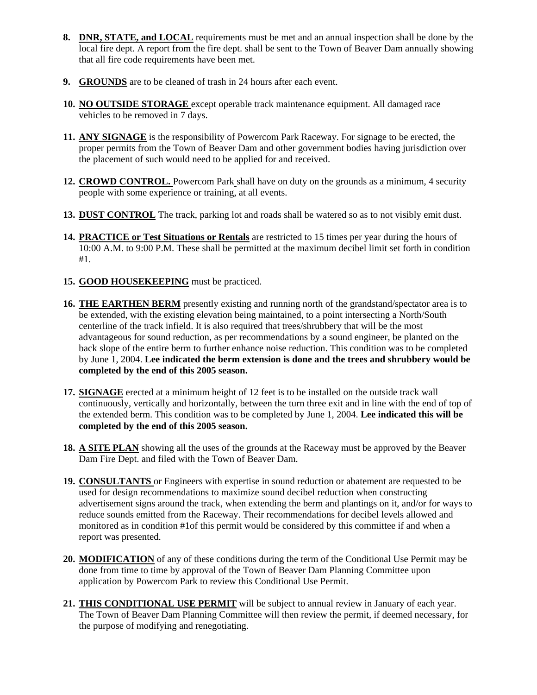- **8. DNR, STATE, and LOCAL** requirements must be met and an annual inspection shall be done by the local fire dept. A report from the fire dept. shall be sent to the Town of Beaver Dam annually showing that all fire code requirements have been met.
- **9. GROUNDS** are to be cleaned of trash in 24 hours after each event.
- **10. NO OUTSIDE STORAGE** except operable track maintenance equipment. All damaged race vehicles to be removed in 7 days.
- **11. ANY SIGNAGE** is the responsibility of Powercom Park Raceway. For signage to be erected, the proper permits from the Town of Beaver Dam and other government bodies having jurisdiction over the placement of such would need to be applied for and received.
- **12. CROWD CONTROL.** Powercom Park shall have on duty on the grounds as a minimum, 4 security people with some experience or training, at all events.
- **13. DUST CONTROL** The track, parking lot and roads shall be watered so as to not visibly emit dust.
- **14. PRACTICE or Test Situations or Rentals** are restricted to 15 times per year during the hours of 10:00 A.M. to 9:00 P.M. These shall be permitted at the maximum decibel limit set forth in condition #1.
- **15. GOOD HOUSEKEEPING** must be practiced.
- **16. THE EARTHEN BERM** presently existing and running north of the grandstand/spectator area is to be extended, with the existing elevation being maintained, to a point intersecting a North/South centerline of the track infield. It is also required that trees/shrubbery that will be the most advantageous for sound reduction, as per recommendations by a sound engineer, be planted on the back slope of the entire berm to further enhance noise reduction. This condition was to be completed by June 1, 2004. **Lee indicated the berm extension is done and the trees and shrubbery would be completed by the end of this 2005 season.**
- **17. SIGNAGE** erected at a minimum height of 12 feet is to be installed on the outside track wall continuously, vertically and horizontally, between the turn three exit and in line with the end of top of the extended berm. This condition was to be completed by June 1, 2004. **Lee indicated this will be completed by the end of this 2005 season.**
- **18. A SITE PLAN** showing all the uses of the grounds at the Raceway must be approved by the Beaver Dam Fire Dept. and filed with the Town of Beaver Dam.
- **19. CONSULTANTS** or Engineers with expertise in sound reduction or abatement are requested to be used for design recommendations to maximize sound decibel reduction when constructing advertisement signs around the track, when extending the berm and plantings on it, and/or for ways to reduce sounds emitted from the Raceway. Their recommendations for decibel levels allowed and monitored as in condition #1of this permit would be considered by this committee if and when a report was presented.
- **20. MODIFICATION** of any of these conditions during the term of the Conditional Use Permit may be done from time to time by approval of the Town of Beaver Dam Planning Committee upon application by Powercom Park to review this Conditional Use Permit.
- **21. THIS CONDITIONAL USE PERMIT** will be subject to annual review in January of each year. The Town of Beaver Dam Planning Committee will then review the permit, if deemed necessary, for the purpose of modifying and renegotiating.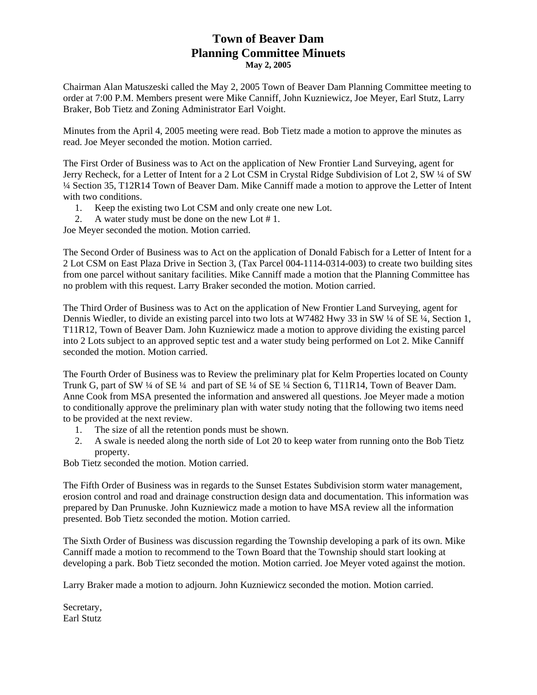#### **Town of Beaver Dam Planning Committee Minuets May 2, 2005**

Chairman Alan Matuszeski called the May 2, 2005 Town of Beaver Dam Planning Committee meeting to order at 7:00 P.M. Members present were Mike Canniff, John Kuzniewicz, Joe Meyer, Earl Stutz, Larry Braker, Bob Tietz and Zoning Administrator Earl Voight.

Minutes from the April 4, 2005 meeting were read. Bob Tietz made a motion to approve the minutes as read. Joe Meyer seconded the motion. Motion carried.

The First Order of Business was to Act on the application of New Frontier Land Surveying, agent for Jerry Recheck, for a Letter of Intent for a 2 Lot CSM in Crystal Ridge Subdivision of Lot 2, SW ¼ of SW ¼ Section 35, T12R14 Town of Beaver Dam. Mike Canniff made a motion to approve the Letter of Intent with two conditions.

- 1. Keep the existing two Lot CSM and only create one new Lot.
- 2. A water study must be done on the new Lot # 1.

Joe Meyer seconded the motion. Motion carried.

The Second Order of Business was to Act on the application of Donald Fabisch for a Letter of Intent for a 2 Lot CSM on East Plaza Drive in Section 3, (Tax Parcel 004-1114-0314-003) to create two building sites from one parcel without sanitary facilities. Mike Canniff made a motion that the Planning Committee has no problem with this request. Larry Braker seconded the motion. Motion carried.

The Third Order of Business was to Act on the application of New Frontier Land Surveying, agent for Dennis Wiedler, to divide an existing parcel into two lots at W7482 Hwy 33 in SW ¼ of SE ¼, Section 1, T11R12, Town of Beaver Dam. John Kuzniewicz made a motion to approve dividing the existing parcel into 2 Lots subject to an approved septic test and a water study being performed on Lot 2. Mike Canniff seconded the motion. Motion carried.

The Fourth Order of Business was to Review the preliminary plat for Kelm Properties located on County Trunk G, part of SW ¼ of SE ¼ and part of SE ¼ of SE ¼ Section 6, T11R14, Town of Beaver Dam. Anne Cook from MSA presented the information and answered all questions. Joe Meyer made a motion to conditionally approve the preliminary plan with water study noting that the following two items need to be provided at the next review.

- 1. The size of all the retention ponds must be shown.
- 2. A swale is needed along the north side of Lot 20 to keep water from running onto the Bob Tietz property.

Bob Tietz seconded the motion. Motion carried.

The Fifth Order of Business was in regards to the Sunset Estates Subdivision storm water management, erosion control and road and drainage construction design data and documentation. This information was prepared by Dan Prunuske. John Kuzniewicz made a motion to have MSA review all the information presented. Bob Tietz seconded the motion. Motion carried.

The Sixth Order of Business was discussion regarding the Township developing a park of its own. Mike Canniff made a motion to recommend to the Town Board that the Township should start looking at developing a park. Bob Tietz seconded the motion. Motion carried. Joe Meyer voted against the motion.

Larry Braker made a motion to adjourn. John Kuzniewicz seconded the motion. Motion carried.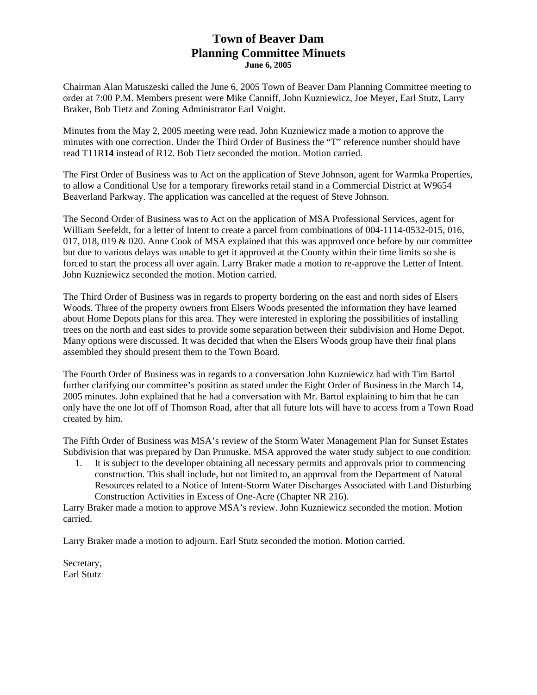#### **Town of Beaver Dam Planning Committee Minuets June 6, 2005**

Chairman Alan Matuszeski called the June 6, 2005 Town of Beaver Dam Planning Committee meeting to order at 7:00 P.M. Members present were Mike Canniff, John Kuzniewicz, Joe Meyer, Earl Stutz, Larry Braker, Bob Tietz and Zoning Administrator Earl Voight.

Minutes from the May 2, 2005 meeting were read. John Kuzniewicz made a motion to approve the minutes with one correction. Under the Third Order of Business the "T" reference number should have read T11R**14** instead of R12. Bob Tietz seconded the motion. Motion carried.

The First Order of Business was to Act on the application of Steve Johnson, agent for Warmka Properties, to allow a Conditional Use for a temporary fireworks retail stand in a Commercial District at W9654 Beaverland Parkway. The application was cancelled at the request of Steve Johnson.

The Second Order of Business was to Act on the application of MSA Professional Services, agent for William Seefeldt, for a letter of Intent to create a parcel from combinations of 004-1114-0532-015, 016, 017, 018, 019 & 020. Anne Cook of MSA explained that this was approved once before by our committee but due to various delays was unable to get it approved at the County within their time limits so she is forced to start the process all over again. Larry Braker made a motion to re-approve the Letter of Intent. John Kuzniewicz seconded the motion. Motion carried.

The Third Order of Business was in regards to property bordering on the east and north sides of Elsers Woods. Three of the property owners from Elsers Woods presented the information they have learned about Home Depots plans for this area. They were interested in exploring the possibilities of installing trees on the north and east sides to provide some separation between their subdivision and Home Depot. Many options were discussed. It was decided that when the Elsers Woods group have their final plans assembled they should present them to the Town Board.

The Fourth Order of Business was in regards to a conversation John Kuzniewicz had with Tim Bartol further clarifying our committee's position as stated under the Eight Order of Business in the March 14, 2005 minutes. John explained that he had a conversation with Mr. Bartol explaining to him that he can only have the one lot off of Thomson Road, after that all future lots will have to access from a Town Road created by him.

The Fifth Order of Business was MSA's review of the Storm Water Management Plan for Sunset Estates Subdivision that was prepared by Dan Prunuske. MSA approved the water study subject to one condition:

1. It is subject to the developer obtaining all necessary permits and approvals prior to commencing construction. This shall include, but not limited to, an approval from the Department of Natural Resources related to a Notice of Intent-Storm Water Discharges Associated with Land Disturbing Construction Activities in Excess of One-Acre (Chapter NR 216).

Larry Braker made a motion to approve MSA's review. John Kuzniewicz seconded the motion. Motion carried.

Larry Braker made a motion to adjourn. Earl Stutz seconded the motion. Motion carried.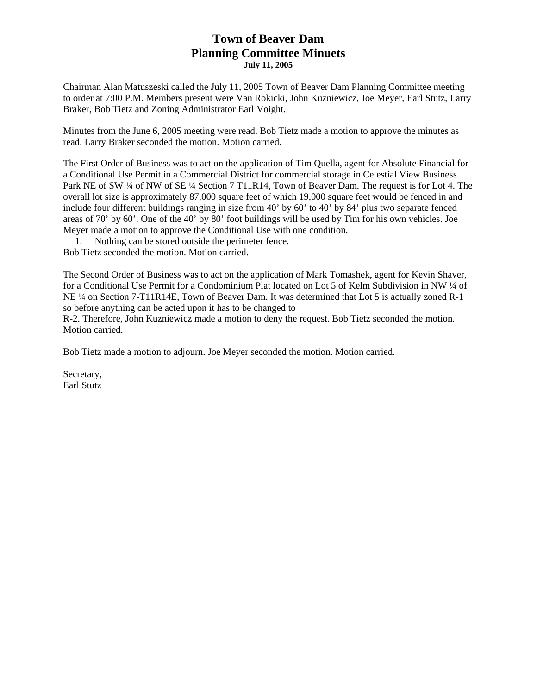#### **Town of Beaver Dam Planning Committee Minuets July 11, 2005**

Chairman Alan Matuszeski called the July 11, 2005 Town of Beaver Dam Planning Committee meeting to order at 7:00 P.M. Members present were Van Rokicki, John Kuzniewicz, Joe Meyer, Earl Stutz, Larry Braker, Bob Tietz and Zoning Administrator Earl Voight.

Minutes from the June 6, 2005 meeting were read. Bob Tietz made a motion to approve the minutes as read. Larry Braker seconded the motion. Motion carried.

The First Order of Business was to act on the application of Tim Quella, agent for Absolute Financial for a Conditional Use Permit in a Commercial District for commercial storage in Celestial View Business Park NE of SW 1/4 of NW of SE 1/4 Section 7 T11R14, Town of Beaver Dam. The request is for Lot 4. The overall lot size is approximately 87,000 square feet of which 19,000 square feet would be fenced in and include four different buildings ranging in size from 40' by 60' to 40' by 84' plus two separate fenced areas of 70' by 60'. One of the 40' by 80' foot buildings will be used by Tim for his own vehicles. Joe Meyer made a motion to approve the Conditional Use with one condition.

1. Nothing can be stored outside the perimeter fence.

Bob Tietz seconded the motion. Motion carried.

The Second Order of Business was to act on the application of Mark Tomashek, agent for Kevin Shaver, for a Conditional Use Permit for a Condominium Plat located on Lot 5 of Kelm Subdivision in NW ¼ of NE ¼ on Section 7-T11R14E, Town of Beaver Dam. It was determined that Lot 5 is actually zoned R-1 so before anything can be acted upon it has to be changed to

R-2. Therefore, John Kuzniewicz made a motion to deny the request. Bob Tietz seconded the motion. Motion carried.

Bob Tietz made a motion to adjourn. Joe Meyer seconded the motion. Motion carried.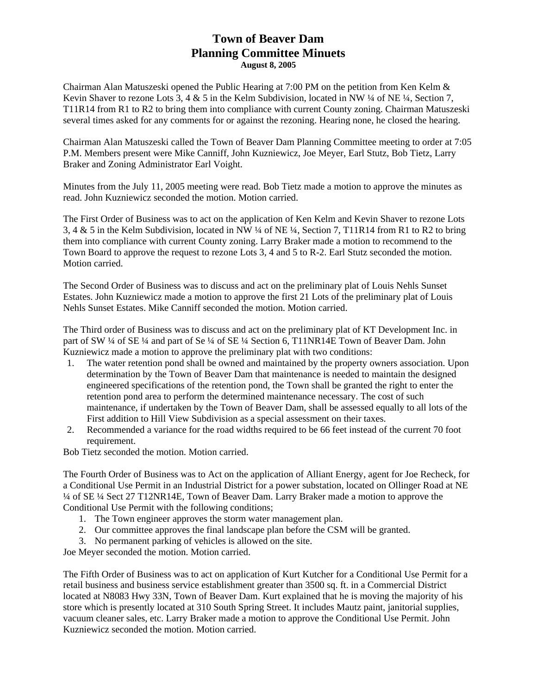## **Town of Beaver Dam Planning Committee Minuets August 8, 2005**

Chairman Alan Matuszeski opened the Public Hearing at 7:00 PM on the petition from Ken Kelm & Kevin Shaver to rezone Lots 3, 4 & 5 in the Kelm Subdivision, located in NW ¼ of NE ¼, Section 7, T11R14 from R1 to R2 to bring them into compliance with current County zoning. Chairman Matuszeski several times asked for any comments for or against the rezoning. Hearing none, he closed the hearing.

Chairman Alan Matuszeski called the Town of Beaver Dam Planning Committee meeting to order at 7:05 P.M. Members present were Mike Canniff, John Kuzniewicz, Joe Meyer, Earl Stutz, Bob Tietz, Larry Braker and Zoning Administrator Earl Voight.

Minutes from the July 11, 2005 meeting were read. Bob Tietz made a motion to approve the minutes as read. John Kuzniewicz seconded the motion. Motion carried.

The First Order of Business was to act on the application of Ken Kelm and Kevin Shaver to rezone Lots 3, 4 & 5 in the Kelm Subdivision, located in NW ¼ of NE ¼, Section 7, T11R14 from R1 to R2 to bring them into compliance with current County zoning. Larry Braker made a motion to recommend to the Town Board to approve the request to rezone Lots 3, 4 and 5 to R-2. Earl Stutz seconded the motion. Motion carried.

The Second Order of Business was to discuss and act on the preliminary plat of Louis Nehls Sunset Estates. John Kuzniewicz made a motion to approve the first 21 Lots of the preliminary plat of Louis Nehls Sunset Estates. Mike Canniff seconded the motion. Motion carried.

The Third order of Business was to discuss and act on the preliminary plat of KT Development Inc. in part of SW ¼ of SE ¼ and part of Se ¼ of SE ¼ Section 6, T11NR14E Town of Beaver Dam. John Kuzniewicz made a motion to approve the preliminary plat with two conditions:

- 1. The water retention pond shall be owned and maintained by the property owners association. Upon determination by the Town of Beaver Dam that maintenance is needed to maintain the designed engineered specifications of the retention pond, the Town shall be granted the right to enter the retention pond area to perform the determined maintenance necessary. The cost of such maintenance, if undertaken by the Town of Beaver Dam, shall be assessed equally to all lots of the First addition to Hill View Subdivision as a special assessment on their taxes.
- 2. Recommended a variance for the road widths required to be 66 feet instead of the current 70 foot requirement.

Bob Tietz seconded the motion. Motion carried.

The Fourth Order of Business was to Act on the application of Alliant Energy, agent for Joe Recheck, for a Conditional Use Permit in an Industrial District for a power substation, located on Ollinger Road at NE ¼ of SE ¼ Sect 27 T12NR14E, Town of Beaver Dam. Larry Braker made a motion to approve the Conditional Use Permit with the following conditions;

- 1. The Town engineer approves the storm water management plan.
- 2. Our committee approves the final landscape plan before the CSM will be granted.
- 3. No permanent parking of vehicles is allowed on the site.

Joe Meyer seconded the motion. Motion carried.

The Fifth Order of Business was to act on application of Kurt Kutcher for a Conditional Use Permit for a retail business and business service establishment greater than 3500 sq. ft. in a Commercial District located at N8083 Hwy 33N, Town of Beaver Dam. Kurt explained that he is moving the majority of his store which is presently located at 310 South Spring Street. It includes Mautz paint, janitorial supplies, vacuum cleaner sales, etc. Larry Braker made a motion to approve the Conditional Use Permit. John Kuzniewicz seconded the motion. Motion carried.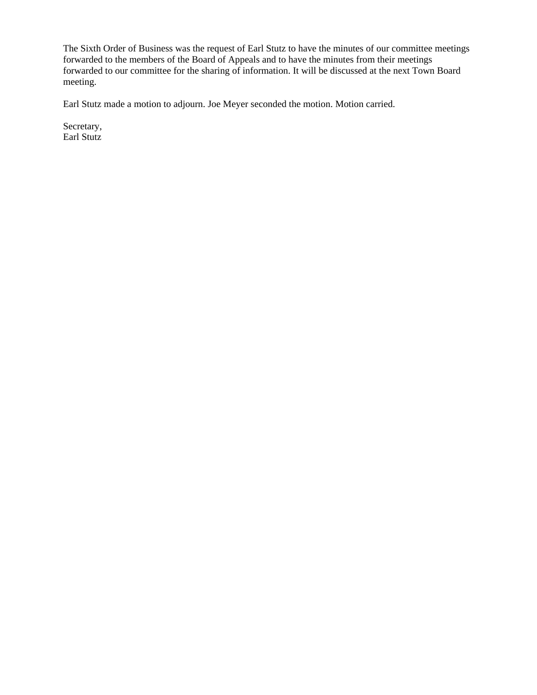The Sixth Order of Business was the request of Earl Stutz to have the minutes of our committee meetings forwarded to the members of the Board of Appeals and to have the minutes from their meetings forwarded to our committee for the sharing of information. It will be discussed at the next Town Board meeting.

Earl Stutz made a motion to adjourn. Joe Meyer seconded the motion. Motion carried.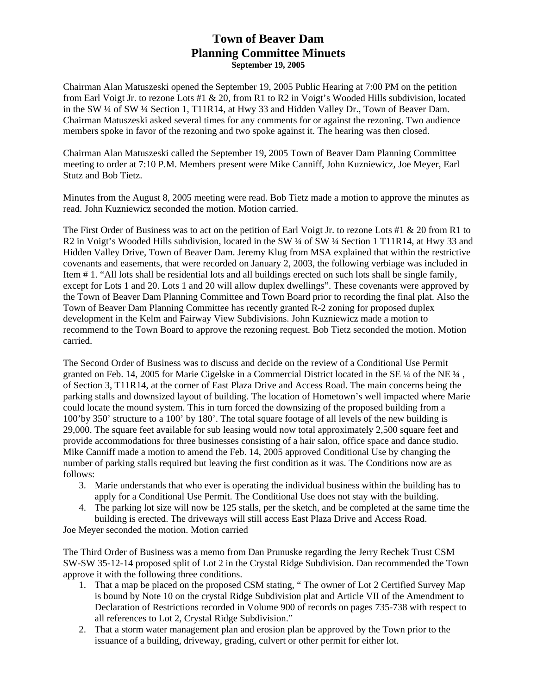#### **Town of Beaver Dam Planning Committee Minuets September 19, 2005**

Chairman Alan Matuszeski opened the September 19, 2005 Public Hearing at 7:00 PM on the petition from Earl Voigt Jr. to rezone Lots #1 & 20, from R1 to R2 in Voigt's Wooded Hills subdivision, located in the SW ¼ of SW ¼ Section 1, T11R14, at Hwy 33 and Hidden Valley Dr., Town of Beaver Dam. Chairman Matuszeski asked several times for any comments for or against the rezoning. Two audience members spoke in favor of the rezoning and two spoke against it. The hearing was then closed.

Chairman Alan Matuszeski called the September 19, 2005 Town of Beaver Dam Planning Committee meeting to order at 7:10 P.M. Members present were Mike Canniff, John Kuzniewicz, Joe Meyer, Earl Stutz and Bob Tietz.

Minutes from the August 8, 2005 meeting were read. Bob Tietz made a motion to approve the minutes as read. John Kuzniewicz seconded the motion. Motion carried.

The First Order of Business was to act on the petition of Earl Voigt Jr. to rezone Lots #1 & 20 from R1 to R2 in Voigt's Wooded Hills subdivision, located in the SW 1/4 of SW 1/4 Section 1 T11R14, at Hwy 33 and Hidden Valley Drive, Town of Beaver Dam. Jeremy Klug from MSA explained that within the restrictive covenants and easements, that were recorded on January 2, 2003, the following verbiage was included in Item # 1. "All lots shall be residential lots and all buildings erected on such lots shall be single family, except for Lots 1 and 20. Lots 1 and 20 will allow duplex dwellings". These covenants were approved by the Town of Beaver Dam Planning Committee and Town Board prior to recording the final plat. Also the Town of Beaver Dam Planning Committee has recently granted R-2 zoning for proposed duplex development in the Kelm and Fairway View Subdivisions. John Kuzniewicz made a motion to recommend to the Town Board to approve the rezoning request. Bob Tietz seconded the motion. Motion carried.

The Second Order of Business was to discuss and decide on the review of a Conditional Use Permit granted on Feb. 14, 2005 for Marie Cigelske in a Commercial District located in the SE ¼ of the NE ¼ , of Section 3, T11R14, at the corner of East Plaza Drive and Access Road. The main concerns being the parking stalls and downsized layout of building. The location of Hometown's well impacted where Marie could locate the mound system. This in turn forced the downsizing of the proposed building from a 100'by 350' structure to a 100' by 180'. The total square footage of all levels of the new building is 29,000. The square feet available for sub leasing would now total approximately 2,500 square feet and provide accommodations for three businesses consisting of a hair salon, office space and dance studio. Mike Canniff made a motion to amend the Feb. 14, 2005 approved Conditional Use by changing the number of parking stalls required but leaving the first condition as it was. The Conditions now are as follows:

- 3. Marie understands that who ever is operating the individual business within the building has to apply for a Conditional Use Permit. The Conditional Use does not stay with the building.
- 4. The parking lot size will now be 125 stalls, per the sketch, and be completed at the same time the building is erected. The driveways will still access East Plaza Drive and Access Road.

Joe Meyer seconded the motion. Motion carried

The Third Order of Business was a memo from Dan Prunuske regarding the Jerry Rechek Trust CSM SW-SW 35-12-14 proposed split of Lot 2 in the Crystal Ridge Subdivision. Dan recommended the Town approve it with the following three conditions.

- 1. That a map be placed on the proposed CSM stating, " The owner of Lot 2 Certified Survey Map is bound by Note 10 on the crystal Ridge Subdivision plat and Article VII of the Amendment to Declaration of Restrictions recorded in Volume 900 of records on pages 735-738 with respect to all references to Lot 2, Crystal Ridge Subdivision."
- 2. That a storm water management plan and erosion plan be approved by the Town prior to the issuance of a building, driveway, grading, culvert or other permit for either lot.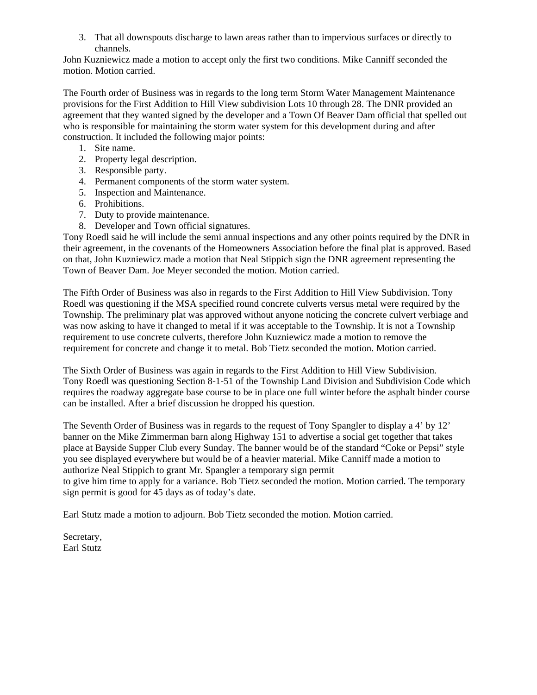3. That all downspouts discharge to lawn areas rather than to impervious surfaces or directly to channels.

John Kuzniewicz made a motion to accept only the first two conditions. Mike Canniff seconded the motion. Motion carried.

The Fourth order of Business was in regards to the long term Storm Water Management Maintenance provisions for the First Addition to Hill View subdivision Lots 10 through 28. The DNR provided an agreement that they wanted signed by the developer and a Town Of Beaver Dam official that spelled out who is responsible for maintaining the storm water system for this development during and after construction. It included the following major points:

- 1. Site name.
- 2. Property legal description.
- 3. Responsible party.
- 4. Permanent components of the storm water system.
- 5. Inspection and Maintenance.
- 6. Prohibitions.
- 7. Duty to provide maintenance.
- 8. Developer and Town official signatures.

Tony Roedl said he will include the semi annual inspections and any other points required by the DNR in their agreement, in the covenants of the Homeowners Association before the final plat is approved. Based on that, John Kuzniewicz made a motion that Neal Stippich sign the DNR agreement representing the Town of Beaver Dam. Joe Meyer seconded the motion. Motion carried.

The Fifth Order of Business was also in regards to the First Addition to Hill View Subdivision. Tony Roedl was questioning if the MSA specified round concrete culverts versus metal were required by the Township. The preliminary plat was approved without anyone noticing the concrete culvert verbiage and was now asking to have it changed to metal if it was acceptable to the Township. It is not a Township requirement to use concrete culverts, therefore John Kuzniewicz made a motion to remove the requirement for concrete and change it to metal. Bob Tietz seconded the motion. Motion carried.

The Sixth Order of Business was again in regards to the First Addition to Hill View Subdivision. Tony Roedl was questioning Section 8-1-51 of the Township Land Division and Subdivision Code which requires the roadway aggregate base course to be in place one full winter before the asphalt binder course can be installed. After a brief discussion he dropped his question.

The Seventh Order of Business was in regards to the request of Tony Spangler to display a 4' by 12' banner on the Mike Zimmerman barn along Highway 151 to advertise a social get together that takes place at Bayside Supper Club every Sunday. The banner would be of the standard "Coke or Pepsi" style you see displayed everywhere but would be of a heavier material. Mike Canniff made a motion to authorize Neal Stippich to grant Mr. Spangler a temporary sign permit to give him time to apply for a variance. Bob Tietz seconded the motion. Motion carried. The temporary sign permit is good for 45 days as of today's date.

Earl Stutz made a motion to adjourn. Bob Tietz seconded the motion. Motion carried.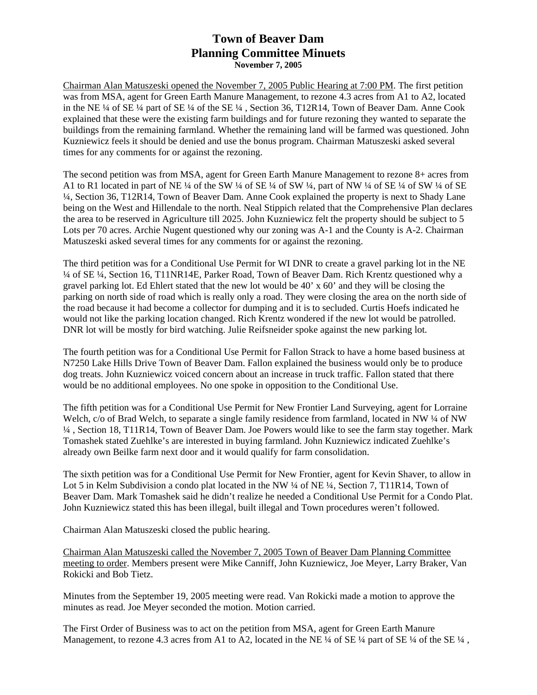#### **Town of Beaver Dam Planning Committee Minuets November 7, 2005**

Chairman Alan Matuszeski opened the November 7, 2005 Public Hearing at 7:00 PM. The first petition was from MSA, agent for Green Earth Manure Management, to rezone 4.3 acres from A1 to A2, located in the NE ¼ of SE ¼ part of SE ¼ of the SE ¼ , Section 36, T12R14, Town of Beaver Dam. Anne Cook explained that these were the existing farm buildings and for future rezoning they wanted to separate the buildings from the remaining farmland. Whether the remaining land will be farmed was questioned. John Kuzniewicz feels it should be denied and use the bonus program. Chairman Matuszeski asked several times for any comments for or against the rezoning.

The second petition was from MSA, agent for Green Earth Manure Management to rezone 8+ acres from A1 to R1 located in part of NE ¼ of the SW ¼ of SE ¼ of SW ¼, part of NW ¼ of SE ¼ of SW ¼ of SE ¼, Section 36, T12R14, Town of Beaver Dam. Anne Cook explained the property is next to Shady Lane being on the West and Hillendale to the north. Neal Stippich related that the Comprehensive Plan declares the area to be reserved in Agriculture till 2025. John Kuzniewicz felt the property should be subject to 5 Lots per 70 acres. Archie Nugent questioned why our zoning was A-1 and the County is A-2. Chairman Matuszeski asked several times for any comments for or against the rezoning.

The third petition was for a Conditional Use Permit for WI DNR to create a gravel parking lot in the NE ¼ of SE ¼, Section 16, T11NR14E, Parker Road, Town of Beaver Dam. Rich Krentz questioned why a gravel parking lot. Ed Ehlert stated that the new lot would be 40' x 60' and they will be closing the parking on north side of road which is really only a road. They were closing the area on the north side of the road because it had become a collector for dumping and it is to secluded. Curtis Hoefs indicated he would not like the parking location changed. Rich Krentz wondered if the new lot would be patrolled. DNR lot will be mostly for bird watching. Julie Reifsneider spoke against the new parking lot.

The fourth petition was for a Conditional Use Permit for Fallon Strack to have a home based business at N7250 Lake Hills Drive Town of Beaver Dam. Fallon explained the business would only be to produce dog treats. John Kuzniewicz voiced concern about an increase in truck traffic. Fallon stated that there would be no additional employees. No one spoke in opposition to the Conditional Use.

The fifth petition was for a Conditional Use Permit for New Frontier Land Surveying, agent for Lorraine Welch, c/o of Brad Welch, to separate a single family residence from farmland, located in NW ¼ of NW ¼ , Section 18, T11R14, Town of Beaver Dam. Joe Powers would like to see the farm stay together. Mark Tomashek stated Zuehlke's are interested in buying farmland. John Kuzniewicz indicated Zuehlke's already own Beilke farm next door and it would qualify for farm consolidation.

The sixth petition was for a Conditional Use Permit for New Frontier, agent for Kevin Shaver, to allow in Lot 5 in Kelm Subdivision a condo plat located in the NW ¼ of NE ¼, Section 7, T11R14, Town of Beaver Dam. Mark Tomashek said he didn't realize he needed a Conditional Use Permit for a Condo Plat. John Kuzniewicz stated this has been illegal, built illegal and Town procedures weren't followed.

Chairman Alan Matuszeski closed the public hearing.

Chairman Alan Matuszeski called the November 7, 2005 Town of Beaver Dam Planning Committee meeting to order. Members present were Mike Canniff, John Kuzniewicz, Joe Meyer, Larry Braker, Van Rokicki and Bob Tietz.

Minutes from the September 19, 2005 meeting were read. Van Rokicki made a motion to approve the minutes as read. Joe Meyer seconded the motion. Motion carried.

The First Order of Business was to act on the petition from MSA, agent for Green Earth Manure Management, to rezone 4.3 acres from A1 to A2, located in the NE  $\frac{1}{4}$  of SE  $\frac{1}{4}$  of SE  $\frac{1}{4}$  of the SE  $\frac{1}{4}$ ,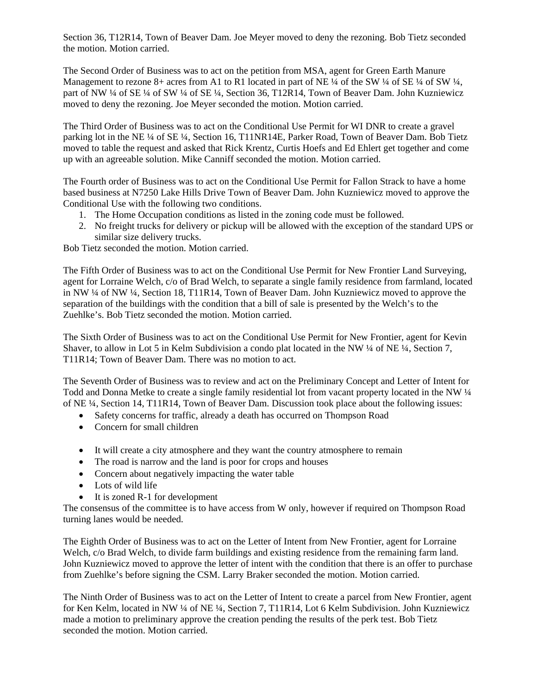Section 36, T12R14, Town of Beaver Dam. Joe Meyer moved to deny the rezoning. Bob Tietz seconded the motion. Motion carried.

The Second Order of Business was to act on the petition from MSA, agent for Green Earth Manure Management to rezone 8+ acres from A1 to R1 located in part of NE  $\frac{1}{4}$  of the SW  $\frac{1}{4}$  of SE  $\frac{1}{4}$  of SW  $\frac{1}{4}$ , part of NW ¼ of SE ¼ of SW ¼ of SE ¼, Section 36, T12R14, Town of Beaver Dam. John Kuzniewicz moved to deny the rezoning. Joe Meyer seconded the motion. Motion carried.

The Third Order of Business was to act on the Conditional Use Permit for WI DNR to create a gravel parking lot in the NE ¼ of SE ¼, Section 16, T11NR14E, Parker Road, Town of Beaver Dam. Bob Tietz moved to table the request and asked that Rick Krentz, Curtis Hoefs and Ed Ehlert get together and come up with an agreeable solution. Mike Canniff seconded the motion. Motion carried.

The Fourth order of Business was to act on the Conditional Use Permit for Fallon Strack to have a home based business at N7250 Lake Hills Drive Town of Beaver Dam. John Kuzniewicz moved to approve the Conditional Use with the following two conditions.

- 1. The Home Occupation conditions as listed in the zoning code must be followed.
- 2. No freight trucks for delivery or pickup will be allowed with the exception of the standard UPS or similar size delivery trucks.

Bob Tietz seconded the motion. Motion carried.

The Fifth Order of Business was to act on the Conditional Use Permit for New Frontier Land Surveying, agent for Lorraine Welch, c/o of Brad Welch, to separate a single family residence from farmland, located in NW ¼ of NW ¼, Section 18, T11R14, Town of Beaver Dam. John Kuzniewicz moved to approve the separation of the buildings with the condition that a bill of sale is presented by the Welch's to the Zuehlke's. Bob Tietz seconded the motion. Motion carried.

The Sixth Order of Business was to act on the Conditional Use Permit for New Frontier, agent for Kevin Shaver, to allow in Lot 5 in Kelm Subdivision a condo plat located in the NW ¼ of NE ¼, Section 7, T11R14; Town of Beaver Dam. There was no motion to act.

The Seventh Order of Business was to review and act on the Preliminary Concept and Letter of Intent for Todd and Donna Metke to create a single family residential lot from vacant property located in the NW ¼ of NE ¼, Section 14, T11R14, Town of Beaver Dam. Discussion took place about the following issues:

- Safety concerns for traffic, already a death has occurred on Thompson Road
- Concern for small children
- It will create a city atmosphere and they want the country atmosphere to remain
- The road is narrow and the land is poor for crops and houses
- Concern about negatively impacting the water table
- Lots of wild life
- It is zoned R-1 for development

The consensus of the committee is to have access from W only, however if required on Thompson Road turning lanes would be needed.

The Eighth Order of Business was to act on the Letter of Intent from New Frontier, agent for Lorraine Welch, c/o Brad Welch, to divide farm buildings and existing residence from the remaining farm land. John Kuzniewicz moved to approve the letter of intent with the condition that there is an offer to purchase from Zuehlke's before signing the CSM. Larry Braker seconded the motion. Motion carried.

The Ninth Order of Business was to act on the Letter of Intent to create a parcel from New Frontier, agent for Ken Kelm, located in NW ¼ of NE ¼, Section 7, T11R14, Lot 6 Kelm Subdivision. John Kuzniewicz made a motion to preliminary approve the creation pending the results of the perk test. Bob Tietz seconded the motion. Motion carried.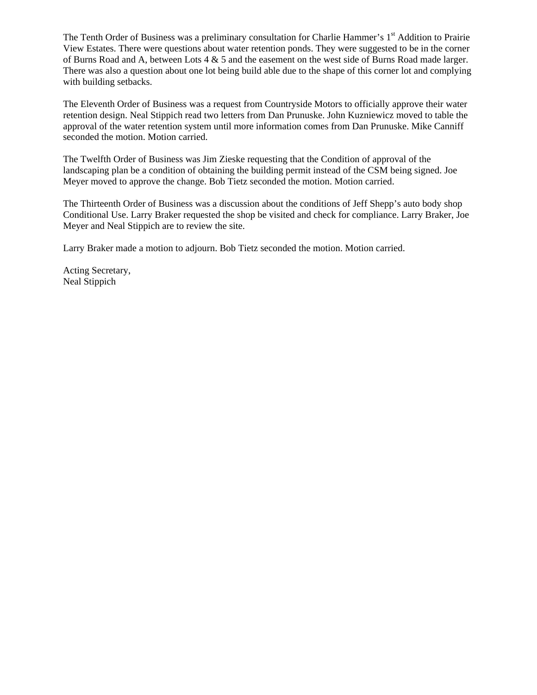The Tenth Order of Business was a preliminary consultation for Charlie Hammer's 1<sup>st</sup> Addition to Prairie View Estates. There were questions about water retention ponds. They were suggested to be in the corner of Burns Road and A, between Lots  $4 \& 5$  and the easement on the west side of Burns Road made larger. There was also a question about one lot being build able due to the shape of this corner lot and complying with building setbacks.

The Eleventh Order of Business was a request from Countryside Motors to officially approve their water retention design. Neal Stippich read two letters from Dan Prunuske. John Kuzniewicz moved to table the approval of the water retention system until more information comes from Dan Prunuske. Mike Canniff seconded the motion. Motion carried.

The Twelfth Order of Business was Jim Zieske requesting that the Condition of approval of the landscaping plan be a condition of obtaining the building permit instead of the CSM being signed. Joe Meyer moved to approve the change. Bob Tietz seconded the motion. Motion carried.

The Thirteenth Order of Business was a discussion about the conditions of Jeff Shepp's auto body shop Conditional Use. Larry Braker requested the shop be visited and check for compliance. Larry Braker, Joe Meyer and Neal Stippich are to review the site.

Larry Braker made a motion to adjourn. Bob Tietz seconded the motion. Motion carried.

Acting Secretary, Neal Stippich